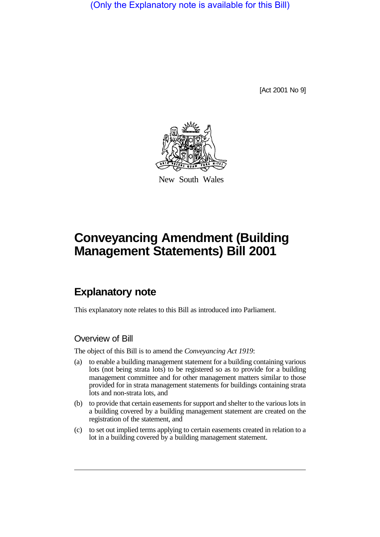(Only the Explanatory note is available for this Bill)

[Act 2001 No 9]



New South Wales

# **Conveyancing Amendment (Building Management Statements) Bill 2001**

## **Explanatory note**

This explanatory note relates to this Bill as introduced into Parliament.

#### Overview of Bill

The object of this Bill is to amend the *Conveyancing Act 1919*:

- (a) to enable a building management statement for a building containing various lots (not being strata lots) to be registered so as to provide for a building management committee and for other management matters similar to those provided for in strata management statements for buildings containing strata lots and non-strata lots, and
- (b) to provide that certain easements for support and shelter to the various lots in a building covered by a building management statement are created on the registration of the statement, and
- (c) to set out implied terms applying to certain easements created in relation to a lot in a building covered by a building management statement.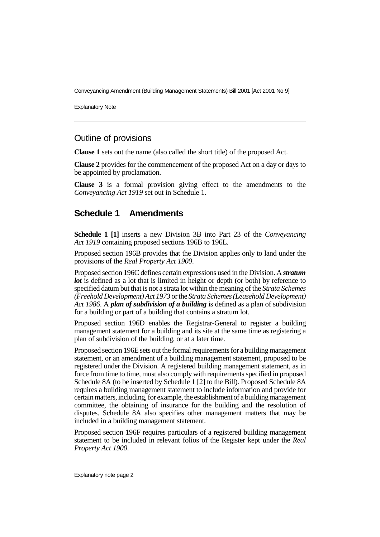Conveyancing Amendment (Building Management Statements) Bill 2001 [Act 2001 No 9]

Explanatory Note

#### Outline of provisions

**Clause 1** sets out the name (also called the short title) of the proposed Act.

**Clause 2** provides for the commencement of the proposed Act on a day or days to be appointed by proclamation.

**Clause 3** is a formal provision giving effect to the amendments to the *Conveyancing Act 1919* set out in Schedule 1.

### **Schedule 1 Amendments**

**Schedule 1 [1]** inserts a new Division 3B into Part 23 of the *Conveyancing Act 1919* containing proposed sections 196B to 196L.

Proposed section 196B provides that the Division applies only to land under the provisions of the *Real Property Act 1900*.

Proposed section 196C defines certain expressions used in the Division. A *stratum lot* is defined as a lot that is limited in height or depth (or both) by reference to specified datum but that is not a strata lot within the meaning of the *Strata Schemes (Freehold Development) Act 1973* or the *Strata Schemes (Leasehold Development) Act 1986*. A *plan of subdivision of a building* is defined as a plan of subdivision for a building or part of a building that contains a stratum lot.

Proposed section 196D enables the Registrar-General to register a building management statement for a building and its site at the same time as registering a plan of subdivision of the building, or at a later time.

Proposed section 196E sets out the formal requirements for a building management statement, or an amendment of a building management statement, proposed to be registered under the Division. A registered building management statement, as in force from time to time, must also comply with requirements specified in proposed Schedule 8A (to be inserted by Schedule 1 [2] to the Bill). Proposed Schedule 8A requires a building management statement to include information and provide for certain matters, including, for example, the establishment of a building management committee, the obtaining of insurance for the building and the resolution of disputes. Schedule 8A also specifies other management matters that may be included in a building management statement.

Proposed section 196F requires particulars of a registered building management statement to be included in relevant folios of the Register kept under the *Real Property Act 1900*.